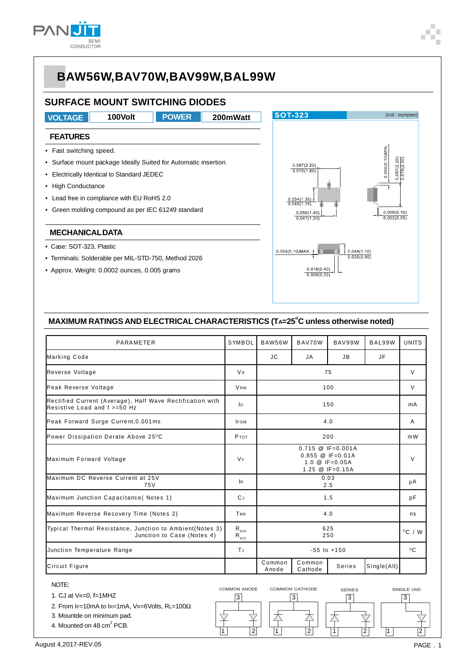

### **SURFACE MOUNT SWITCHING DIODES**

**VOLTAGE 100Volt POWER 200mWatt POWER**

#### **FEATURES**

- Fast switching speed.
- Surface mount package Ideally Suited for Automatic insertion
- Electrically Identical to Standard JEDEC
- High Conductance
- Lead free in compliance with EU RoHS 2.0
- Green molding compound as per IEC 61249 standard

#### **MECHANICAL DATA**

- Case: SOT-323, Plastic
- Terminals: Solderable per MIL-STD-750, Method 2026
- Approx. Weight: 0.0002 ounces, 0.005 grams



### **MAXIMUM RATINGS AND ELECTRICAL CHARACTERISTICS (TA=25°C unless otherwise noted)**

| PARAMETER                                                                                 | SYMBOL                                                       | BAW56W          | BAV70W                                  | BAV99W                          | BAL99W      | <b>UNITS</b>                   |
|-------------------------------------------------------------------------------------------|--------------------------------------------------------------|-----------------|-----------------------------------------|---------------------------------|-------------|--------------------------------|
| <b>Marking Code</b>                                                                       |                                                              | JC.             | <b>JA</b>                               | <b>JB</b>                       | JF          |                                |
| Reverse Voltage                                                                           | <b>VR</b>                                                    |                 | $\vee$                                  |                                 |             |                                |
| Peak Reverse Voltage                                                                      | <b>VRM</b>                                                   |                 | $\vee$                                  |                                 |             |                                |
| Rectified Current (Average), Half Wave Rectification with<br>Resistive Load and f >=50 Hz | lo                                                           |                 | mA                                      |                                 |             |                                |
| Peak Forward Surge Current, 0.001ms                                                       | <b>IFSM</b>                                                  |                 | Α                                       |                                 |             |                                |
| Power Dissipation Derate Above 25°C                                                       | <b>P</b> TOT                                                 |                 | mW                                      |                                 |             |                                |
| Maximum Forward Voltage                                                                   | <b>VF</b>                                                    |                 | V                                       |                                 |             |                                |
| Maximum DC Reverse Current at 25V<br>75V                                                  | R                                                            |                 | μA                                      |                                 |             |                                |
| Maximum Junction Capacitance(Notes 1)                                                     | $C_{J}$                                                      |                 | pF                                      |                                 |             |                                |
| Maximum Reverse Recovery Time (Notes 2)                                                   | <b>TRR</b>                                                   |                 | ns                                      |                                 |             |                                |
| Typical Thermal Resistance, Junction to Ambient(Notes 3)<br>Junction to Case (Notes 4)    | $R_{\theta JA}$<br>$R_{\scriptscriptstyle{\theta\text{JC}}}$ |                 | $^{\circ}$ C / W                        |                                 |             |                                |
| Junction Temperature Range                                                                | $T_{\rm J}$                                                  |                 | $^{\circ}$ C                            |                                 |             |                                |
| Circuit Figure                                                                            |                                                              | Common<br>Anode | Common<br>Cathode                       | Series                          | Single(AIt) |                                |
| NOTE:<br>1. CJ at $V_{R=0}$ , f=1MHZ                                                      | <b>COMMON ANODE</b><br>$\overline{3}$                        |                 | <b>COMMON CATHODE</b><br>$\overline{3}$ | <b>SERIES</b><br>$\overline{3}$ |             | SINGLE (Alt)<br>$\overline{3}$ |

- 2. From IF=10mA to IR=1mA, VR=6Volts, RL=100Ω
- 3. Mountde on minimum pad.
- 4. Mounted on  $48 \text{ cm}^2 \text{ PCB}$ .

1 2 1 2 1 2 1 2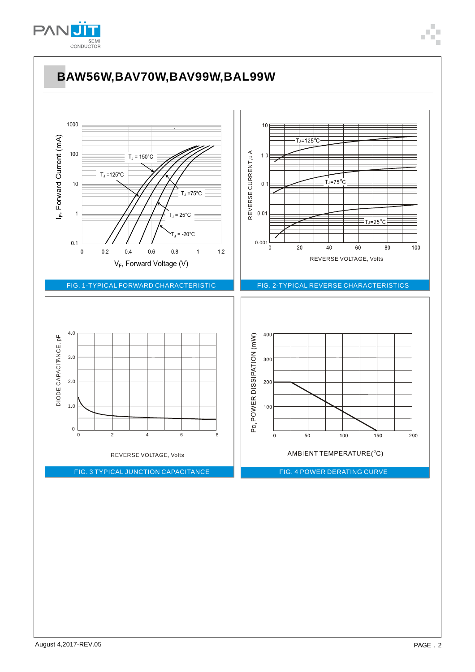

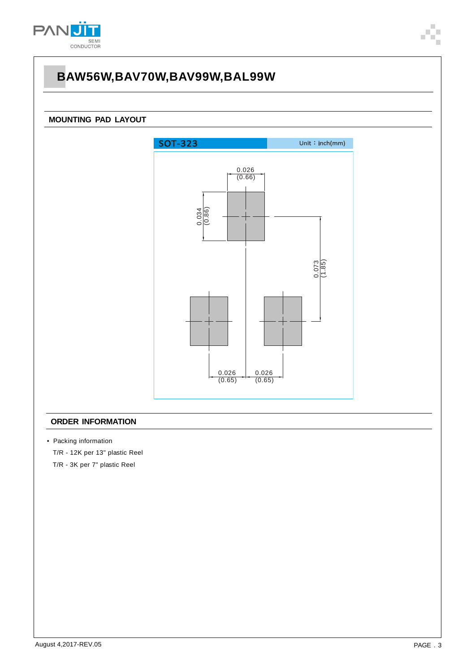

### **MOUNTING PAD LAYOUT**



### **ORDER INFORMATION**

• Packing information

T/R - 12K per 13" plastic Reel

T/R - 3K per 7" plastic Reel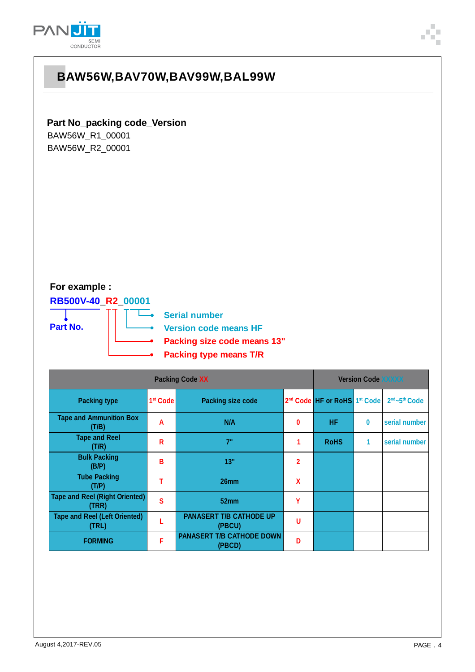

**Part No\_packing code\_Version** BAW56W\_R1\_00001

т

BAW56W\_R2\_00001

**For example :**

**RB500V-40\_R2\_00001 Part No.**

**Serial number**  $\bullet$ **Version code means HF Packing size code means 13"**

**Packing type means T/R**

| <b>Packing Code XX</b>                         |                      |                                            |                | <b>Version Code XXXXX</b>                            |          |                                       |  |
|------------------------------------------------|----------------------|--------------------------------------------|----------------|------------------------------------------------------|----------|---------------------------------------|--|
| <b>Packing type</b>                            | 1 <sup>st</sup> Code | <b>Packing size code</b>                   |                | 2 <sup>nd</sup> Code HF or RoHS 1 <sup>st</sup> Code |          | 2 <sup>nd</sup> ~5 <sup>th</sup> Code |  |
| <b>Tape and Ammunition Box</b><br>(T/B)        | A                    | N/A                                        | 0              | <b>HF</b>                                            | $\bf{0}$ | serial number                         |  |
| <b>Tape and Reel</b><br>(T/R)                  | R                    | 7"                                         |                | <b>RoHS</b>                                          | 1        | serial number                         |  |
| <b>Bulk Packing</b><br>(B/P)                   | В                    | 13"                                        | $\overline{2}$ |                                                      |          |                                       |  |
| <b>Tube Packing</b><br>(T/P)                   |                      | 26mm                                       | X              |                                                      |          |                                       |  |
| <b>Tape and Reel (Right Oriented)</b><br>(TRR) | S                    | 52mm                                       | Υ              |                                                      |          |                                       |  |
| <b>Tape and Reel (Left Oriented)</b><br>(TRL)  |                      | <b>PANASERT T/B CATHODE UP</b><br>(PBCU)   | U              |                                                      |          |                                       |  |
| <b>FORMING</b>                                 | F                    | <b>PANASERT T/B CATHODE DOWN</b><br>(PBCD) | D              |                                                      |          |                                       |  |